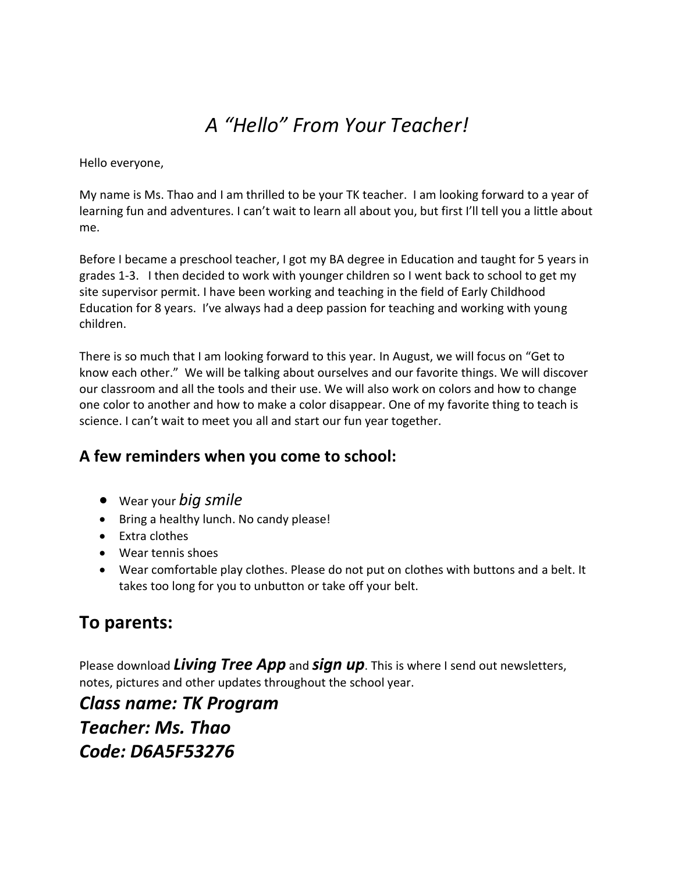# *A "Hello" From Your Teacher!*

Hello everyone,

My name is Ms. Thao and I am thrilled to be your TK teacher. I am looking forward to a year of learning fun and adventures. I can't wait to learn all about you, but first I'll tell you a little about me.

Before I became a preschool teacher, I got my BA degree in Education and taught for 5 years in grades 1-3. I then decided to work with younger children so I went back to school to get my site supervisor permit. I have been working and teaching in the field of Early Childhood Education for 8 years. I've always had a deep passion for teaching and working with young children.

There is so much that I am looking forward to this year. In August, we will focus on "Get to know each other." We will be talking about ourselves and our favorite things. We will discover our classroom and all the tools and their use. We will also work on colors and how to change one color to another and how to make a color disappear. One of my favorite thing to teach is science. I can't wait to meet you all and start our fun year together.

### **A few reminders when you come to school:**

- Wear your *big smile*
- Bring a healthy lunch. No candy please!
- Extra clothes
- Wear tennis shoes
- Wear comfortable play clothes. Please do not put on clothes with buttons and a belt. It takes too long for you to unbutton or take off your belt.

## **To parents:**

Please download *Living Tree App* and *sign up*. This is where I send out newsletters, notes, pictures and other updates throughout the school year.

*Class name: TK Program Teacher: Ms. Thao Code: D6A5F53276*